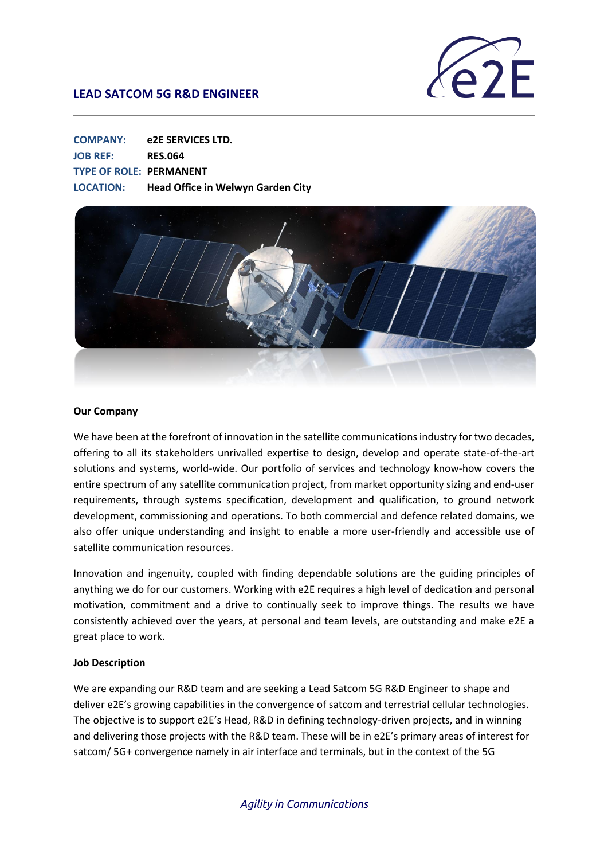

| <b>COMPANY:</b>                | e2E SERVICES LTD.                        |
|--------------------------------|------------------------------------------|
| <b>JOB REF:</b>                | <b>RES.064</b>                           |
| <b>TYPE OF ROLE: PERMANENT</b> |                                          |
| <b>LOCATION:</b>               | <b>Head Office in Welwyn Garden City</b> |



#### **Our Company**

We have been at the forefront of innovation in the satellite communications industry for two decades, offering to all its stakeholders unrivalled expertise to design, develop and operate state-of-the-art solutions and systems, world-wide. Our portfolio of services and technology know-how covers the entire spectrum of any satellite communication project, from market opportunity sizing and end-user requirements, through systems specification, development and qualification, to ground network development, commissioning and operations. To both commercial and defence related domains, we also offer unique understanding and insight to enable a more user-friendly and accessible use of satellite communication resources.

Innovation and ingenuity, coupled with finding dependable solutions are the guiding principles of anything we do for our customers. Working with e2E requires a high level of dedication and personal motivation, commitment and a drive to continually seek to improve things. The results we have consistently achieved over the years, at personal and team levels, are outstanding and make e2E a great place to work.

### **Job Description**

We are expanding our R&D team and are seeking a Lead Satcom 5G R&D Engineer to shape and deliver e2E's growing capabilities in the convergence of satcom and terrestrial cellular technologies. The objective is to support e2E's Head, R&D in defining technology-driven projects, and in winning and delivering those projects with the R&D team. These will be in e2E's primary areas of interest for satcom/ 5G+ convergence namely in air interface and terminals, but in the context of the 5G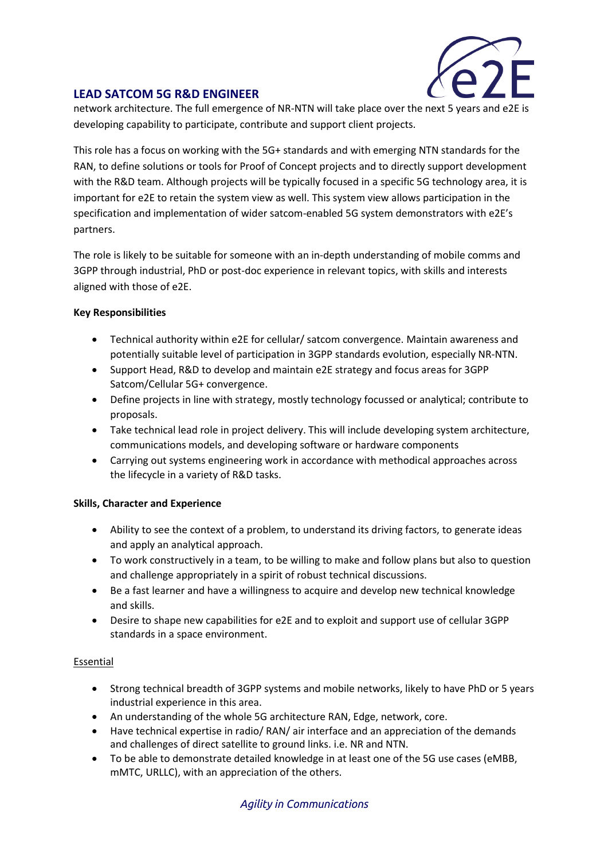

network architecture. The full emergence of NR-NTN will take place over the next 5 years and e2E is developing capability to participate, contribute and support client projects.

This role has a focus on working with the 5G+ standards and with emerging NTN standards for the RAN, to define solutions or tools for Proof of Concept projects and to directly support development with the R&D team. Although projects will be typically focused in a specific 5G technology area, it is important for e2E to retain the system view as well. This system view allows participation in the specification and implementation of wider satcom-enabled 5G system demonstrators with e2E's partners.

The role is likely to be suitable for someone with an in-depth understanding of mobile comms and 3GPP through industrial, PhD or post-doc experience in relevant topics, with skills and interests aligned with those of e2E.

### **Key Responsibilities**

- Technical authority within e2E for cellular/ satcom convergence. Maintain awareness and potentially suitable level of participation in 3GPP standards evolution, especially NR-NTN.
- Support Head, R&D to develop and maintain e2E strategy and focus areas for 3GPP Satcom/Cellular 5G+ convergence.
- Define projects in line with strategy, mostly technology focussed or analytical; contribute to proposals.
- Take technical lead role in project delivery. This will include developing system architecture, communications models, and developing software or hardware components
- Carrying out systems engineering work in accordance with methodical approaches across the lifecycle in a variety of R&D tasks.

### **Skills, Character and Experience**

- Ability to see the context of a problem, to understand its driving factors, to generate ideas and apply an analytical approach.
- To work constructively in a team, to be willing to make and follow plans but also to question and challenge appropriately in a spirit of robust technical discussions.
- Be a fast learner and have a willingness to acquire and develop new technical knowledge and skills.
- Desire to shape new capabilities for e2E and to exploit and support use of cellular 3GPP standards in a space environment.

### Essential

- Strong technical breadth of 3GPP systems and mobile networks, likely to have PhD or 5 years industrial experience in this area.
- An understanding of the whole 5G architecture RAN, Edge, network, core.
- Have technical expertise in radio/ RAN/ air interface and an appreciation of the demands and challenges of direct satellite to ground links. i.e. NR and NTN.
- To be able to demonstrate detailed knowledge in at least one of the 5G use cases (eMBB, mMTC, URLLC), with an appreciation of the others.

## *Agility in Communications*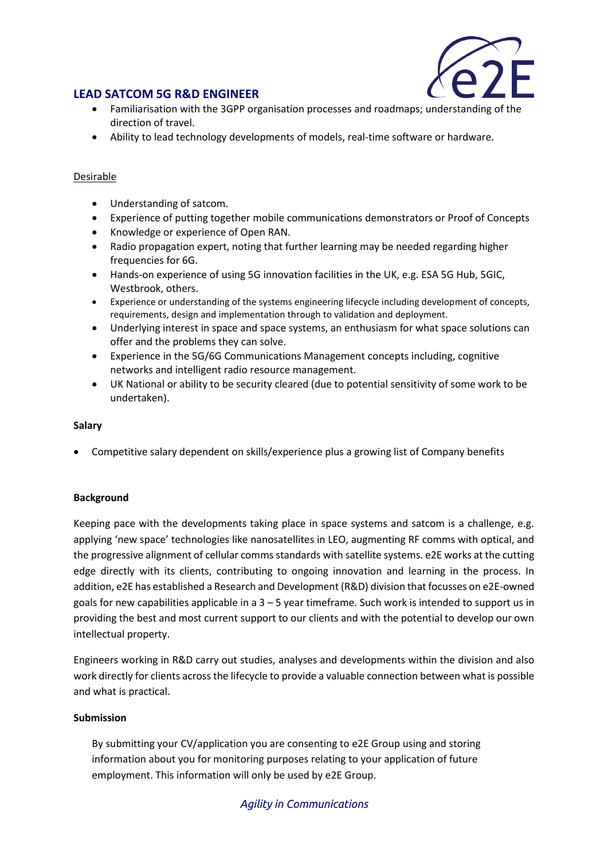

- Familiarisation with the 3GPP organisation processes and roadmaps; understanding of the direction of travel.
- Ability to lead technology developments of models, real-time software or hardware.

### Desirable

- Understanding of satcom.
- Experience of putting together mobile communications demonstrators or Proof of Concepts
- Knowledge or experience of Open RAN.
- Radio propagation expert, noting that further learning may be needed regarding higher frequencies for 6G.
- Hands-on experience of using 5G innovation facilities in the UK, e.g. ESA 5G Hub, 5GIC, Westbrook, others.
- Experience or understanding of the systems engineering lifecycle including development of concepts, requirements, design and implementation through to validation and deployment.
- Underlying interest in space and space systems, an enthusiasm for what space solutions can offer and the problems they can solve.
- Experience in the 5G/6G Communications Management concepts including, cognitive networks and intelligent radio resource management.
- UK National or ability to be security cleared (due to potential sensitivity of some work to be undertaken).

### **Salary**

• Competitive salary dependent on skills/experience plus a growing list of Company benefits

### **Background**

Keeping pace with the developments taking place in space systems and satcom is a challenge, e.g. applying 'new space' technologies like nanosatellites in LEO, augmenting RF comms with optical, and the progressive alignment of cellular comms standards with satellite systems. e2E works at the cutting edge directly with its clients, contributing to ongoing innovation and learning in the process. In addition, e2E has established a Research and Development (R&D) division that focusses on e2E-owned goals for new capabilities applicable in a 3 – 5 year timeframe. Such work is intended to support us in providing the best and most current support to our clients and with the potential to develop our own intellectual property.

Engineers working in R&D carry out studies, analyses and developments within the division and also work directly for clients across the lifecycle to provide a valuable connection between what is possible and what is practical.

### **Submission**

By submitting your CV/application you are consenting to e2E Group using and storing information about you for monitoring purposes relating to your application of future employment. This information will only be used by e2E Group.

### *Agility in Communications*